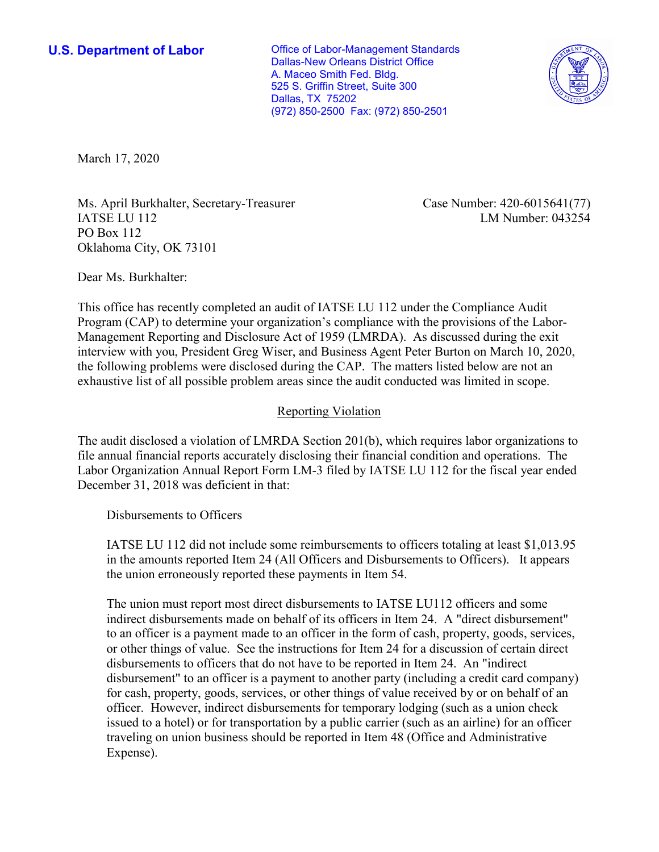**U.S. Department of Labor Conservative Conservative Conservative Conservative Conservative Conservative Conservative Conservative Conservative Conservative Conservative Conservative Conservative Conservative Conservative** Dallas-New Orleans District Office A. Maceo Smith Fed. Bldg. 525 S. Griffin Street, Suite 300 Dallas, TX 75202 (972) 850-2500 Fax: (972) 850-2501



March 17, 2020

Ms. April Burkhalter, Secretary-Treasurer Case Number: 420-6015641(77) IATSE LU 112 LM Number: 043254 PO Box 112 Oklahoma City, OK 73101

Dear Ms. Burkhalter:

 This office has recently completed an audit of IATSE LU 112 under the Compliance Audit interview with you, President Greg Wiser, and Business Agent Peter Burton on March 10, 2020, Program (CAP) to determine your organization's compliance with the provisions of the Labor-Management Reporting and Disclosure Act of 1959 (LMRDA). As discussed during the exit the following problems were disclosed during the CAP. The matters listed below are not an exhaustive list of all possible problem areas since the audit conducted was limited in scope.

## Reporting Violation

 Labor Organization Annual Report Form LM-3 filed by IATSE LU 112 for the fiscal year ended December 31, 2018 was deficient in that: Disbursements to Officers The audit disclosed a violation of LMRDA Section 201(b), which requires labor organizations to file annual financial reports accurately disclosing their financial condition and operations. The

 in the amounts reported Item 24 (All Officers and Disbursements to Officers). It appears the union erroneously reported these payments in Item 54. IATSE LU 112 did not include some reimbursements to officers totaling at least [\\$1,013.95](https://1,013.95)

 The union must report most direct disbursements to IATSE LU112 officers and some issued to a hotel) or for transportation by a public carrier (such as an airline) for an officer indirect disbursements made on behalf of its officers in Item 24. A "direct disbursement" to an officer is a payment made to an officer in the form of cash, property, goods, services, or other things of value. See the instructions for Item 24 for a discussion of certain direct disbursements to officers that do not have to be reported in Item 24. An "indirect disbursement" to an officer is a payment to another party (including a credit card company) for cash, property, goods, services, or other things of value received by or on behalf of an officer. However, indirect disbursements for temporary lodging (such as a union check traveling on union business should be reported in Item 48 (Office and Administrative Expense).